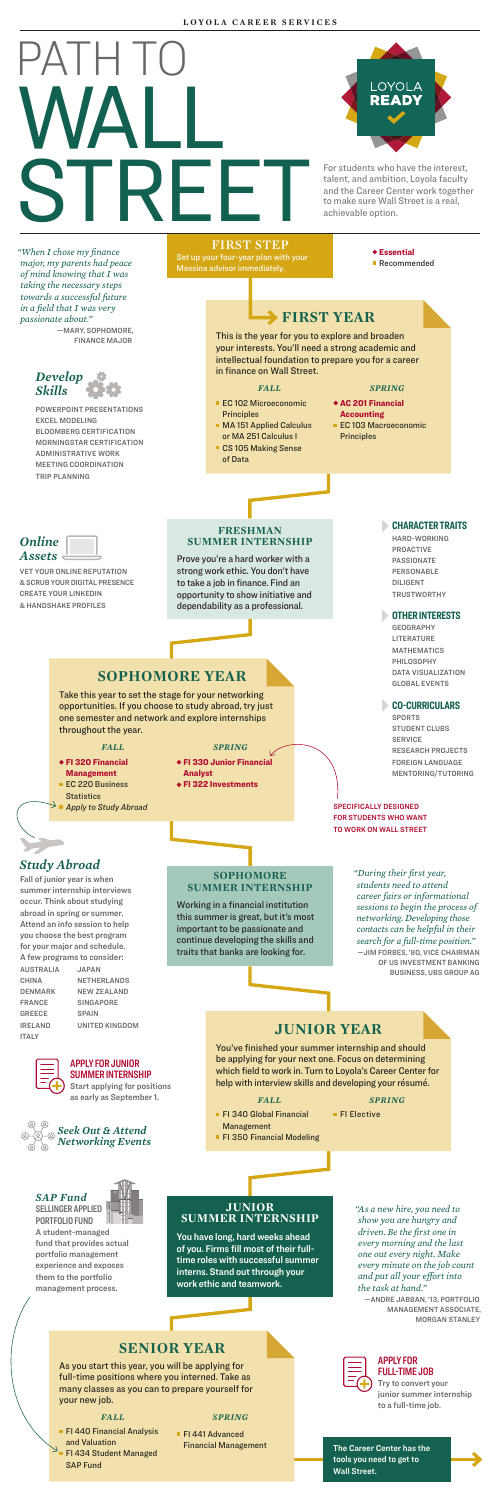

LOYOLA

talent, and ambition, Loyola faculty and the Career Center work together to make sure Wall Street is a real, achievable option.

**FIRST STEP**<br>Set un your four-year plan with plan with your Messina advisor immediately.

Essential ■ Recommended

- **EC 102 Microeconomic Principles**
- **MA 151 Applied Calculus** or MA 251 Calculus I
- CS 105 Making Sense
	- of Data

# **FIRST YEAR**

This is the year for you to explore and broaden your interests. You'll need a strong academic and intellectual foundation to prepare you for a career in finance on Wall Street.

#### *FALL*

#### *SPRING*

- AC 201 Financial **Accounting**
- EC 103 Macroeconomic Principles

### **FRESHMAN SUMMER INTERNSHIP**

Prove you're a hard worker with a strong work ethic. You don't have to take a job in finance. Find an opportunity to show initiative and dependability as a professional.

# **SOPHOMORE YEAR**

Take this year to set the stage for your networking opportunities. If you choose to study abroad, try just one semester and network and explore internships throughout the year.

## *FALL*

# *Study Abroad*

Fall of junior year is when summer internship interviews occur. Think about studying abroad in spring or summer. Attend an info session to help you choose the best program for your major and schedule. A few programs to consider: AUSTRALIA JAPAN CHINA NETHERLANDS DENMARK NEW ZEALAND

> **FI 441 Advanced** Financial Management

- FI 320 Financial Management
- **EC 220 Business**
- **Statistics**
- *Apply to Study Abroad*
- *SPRING*
- FI 330 Junior Financial
- Analyst FI 322 Investments
- 

FRANCE SINGAPORE IRELAND UNITED KINGDOM



GREECE SPAIN ITALY

### SPECIFICALLY DESIGNED FOR STUDENTS WHO WANT TO WORK ON WALL STREET

DILIGENT **TRUSTWORTHY** 

### **SOPHOMORE SUMMER INTERNSHIP**

Working in a financial institution this summer is great, but it's most important to be passionate and continue developing the skills and traits that banks are looking for.

# **JUNIOR YEAR**

You've finished your summer internship and should be applying for your next one. Focus on determining which field to work in. Turn to Loyola's Career Center for help with interview skills and developing your résumé.

#### *FALL*

#### *SPRING*

■ FI Elective

- **FI 340 Global Financial** Management
- **FI 350 Financial Modeling**

### **JUNIOR SUMMER INTERNSHIP**

You have long, hard weeks ahead of you. Firms fill most of their fulltime roles with successful summer interns. Stand out through your work ethic and teamwork.

# **SENIOR YEAR**

### *FALL*

**FI 440 Financial Analysis** and Valuation FI 434 Student Managed

SAP Fund

## *SAP Fund*

SELLINGER APPLIED PORTFOLIO FUND

A student-managed fund that provides actual portfolio management experience and exposes them to the portfolio management process.

*SPRING*



*"When I chose my finance major, my parents had peace of mind knowing that I was taking the necessary steps towards a successful future in a field that I was very passionate about."* —MARY, SOPHOMORE, FINANCE MAJOR

> *Develop Skills*

POWERPOINT PRESENTATIONS EXCEL MODELING BLOOMBERG CERTIFICATION MORNINGSTAR CERTIFICATION ADMINISTRATIVE WORK MEETING COORDINATION TRIP PLANNING

### *Online Assets*

VET YOUR ONLINE REPUTATION & SCRUB YOUR DIGITAL PRESENCE CREATE YOUR LINKEDIN & HANDSHAKE PROFILES

### **CHARACTER TRAITS** HARD-WORKING PROACTIVE PASSIONATE PERSONABLE

### **OTHER INTERESTS**

GEOGRAPHY **LITERATURE** MATHEMATICS PHILOSOPHY DATA VISUALIZATION GLOBAL EVENTS

### **CO-CURRICULARS**

SPORTS STUDENT CLUBS SERVICE RESEARCH PROJECTS FOREIGN LANGUAGE MENTORING/TUTORING

*"During their first year, students need to attend career fairs or informational sessions to begin the process of networking. Developing those contacts can be helpful in their search for a full-time position."* —JIM FORBES, '80, VICE CHAIRMAN OF US INVESTMENT BANKING BUSINESS, UBS GROUP AG

### APPLY FOR JUNIOR SUMMER INTERNSHIP

Start applying for positions as early as September 1.



*"As a new hire, you need to show you are hungry and driven. Be the first one in every morning and the last one out every night. Make every minute on the job count and put all your effort into the task at hand."*

—ANDRE JABBAN, '13, PORTFOLIO MANAGEMENT ASSOCIATE, MORGAN STANLEY

#### APPLY FOR FULL-TIME JOB

Try to convert your junior summer internship to a full-time job.

As you start this year, you will be applying for full-time positions where you interned. Take as many classes as you can to prepare yourself for your new job.

> The Career Center has the tools you need to get to Wall Street.